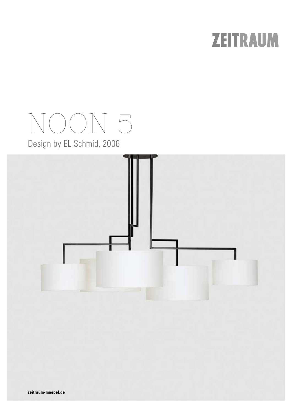## **ZEITRAUM**

# NOON 5

Design by EL Schmid, 2006